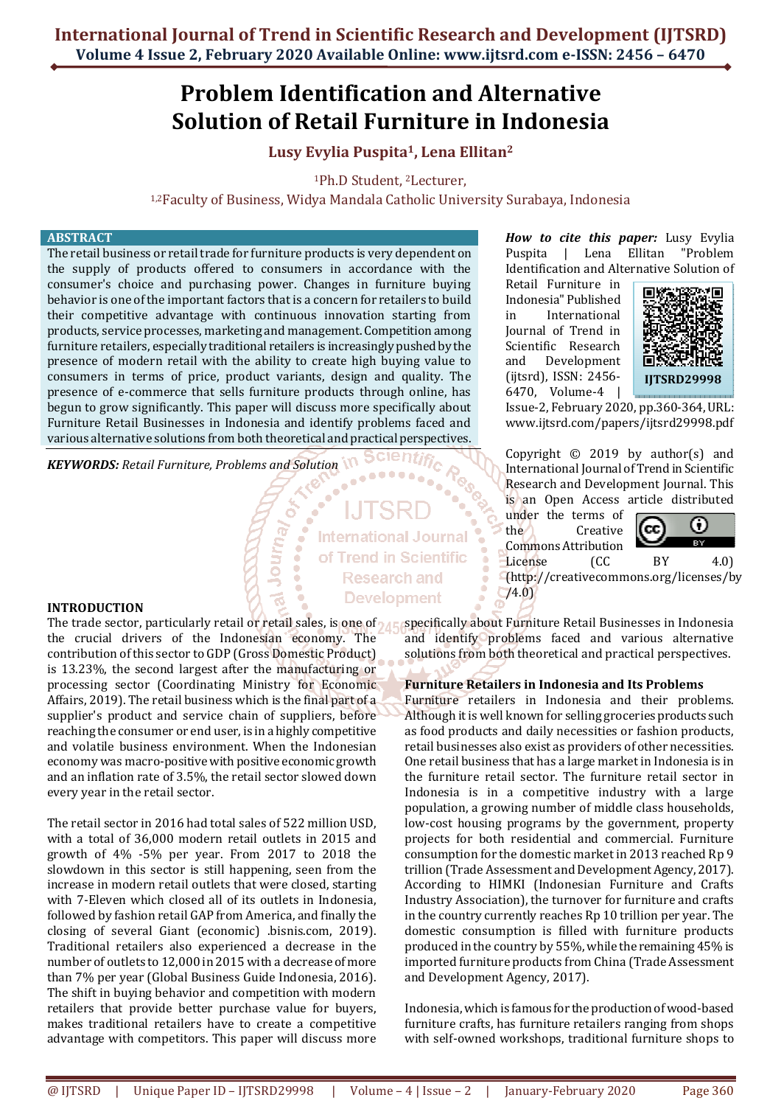# **Problem Identification and Alternative Solution of Retail Furniture in Indonesia**

## **Lusy Evylia Puspita1, Lena Ellitan<sup>2</sup>**

<sup>1</sup>Ph.D Student, 2Lecturer,

1,2Faculty of Business, Widya Mandala Catholic University Surabaya, Indonesia

#### **ABSTRACT**

The retail business or retail trade for furniture products is very dependent on the supply of products offered to consumers in accordance with the consumer's choice and purchasing power. Changes in furniture buying behavior is one of the important factors that is a concern for retailers to build their competitive advantage with continuous innovation starting from products, service processes, marketing and management. Competition among furniture retailers, especially traditional retailers is increasingly pushed by the presence of modern retail with the ability to create high buying value to consumers in terms of price, product variants, design and quality. The presence of e-commerce that sells furniture products through online, has begun to grow significantly. This paper will discuss more specifically about Furniture Retail Businesses in Indonesia and identify problems faced and various alternative solutions from both theoretical and practical perspectives.

Journ<sub>a/</sub>

*KEYWORDS: Retail Furniture, Problems and Solution* 

**International Journal** of Trend in Scientific **Research and Development** 

**INTRODUCTION** 

the crucial drivers of the Indonesian economy. The contribution of this sector to GDP (Gross Domestic Product) is 13.23%, the second largest after the manufacturing or processing sector (Coordinating Ministry for Economic Affairs, 2019). The retail business which is the final part of a supplier's product and service chain of suppliers, before reaching the consumer or end user, is in a highly competitive and volatile business environment. When the Indonesian economy was macro-positive with positive economic growth and an inflation rate of 3.5%, the retail sector slowed down every year in the retail sector.

The retail sector in 2016 had total sales of 522 million USD, with a total of 36,000 modern retail outlets in 2015 and growth of 4% -5% per year. From 2017 to 2018 the slowdown in this sector is still happening, seen from the increase in modern retail outlets that were closed, starting with 7-Eleven which closed all of its outlets in Indonesia, followed by fashion retail GAP from America, and finally the closing of several Giant (economic) .bisnis.com, 2019). Traditional retailers also experienced a decrease in the number of outlets to 12,000 in 2015 with a decrease of more than 7% per year (Global Business Guide Indonesia, 2016). The shift in buying behavior and competition with modern retailers that provide better purchase value for buyers, makes traditional retailers have to create a competitive advantage with competitors. This paper will discuss more

*How to cite this paper:* Lusy Evylia Puspita | Lena Ellitan "Problem Identification and Alternative Solution of

Retail Furniture in Indonesia" Published in International Journal of Trend in Scientific Research and Development (ijtsrd), ISSN: 2456- 6470, Volume-4 |



Issue-2, February 2020, pp.360-364, URL: www.ijtsrd.com/papers/ijtsrd29998.pdf

Copyright  $\odot$  2019 by author(s) and International Journal of Trend in Scientific Research and Development Journal. This is an Open Access article distributed

under the terms of the Creative Commons Attribution



License (CC BY 4.0) (http://creativecommons.org/licenses/by /4.0)

The trade sector, particularly retail or retail sales, is one of <sub>A Ec</sub>specifically about Furniture Retail Businesses in Indonesia and identify problems faced and various alternative solutions from both theoretical and practical perspectives.

## **Furniture Retailers in Indonesia and Its Problems**

Furniture retailers in Indonesia and their problems. Although it is well known for selling groceries products such as food products and daily necessities or fashion products, retail businesses also exist as providers of other necessities. One retail business that has a large market in Indonesia is in the furniture retail sector. The furniture retail sector in Indonesia is in a competitive industry with a large population, a growing number of middle class households, low-cost housing programs by the government, property projects for both residential and commercial. Furniture consumption for the domestic market in 2013 reached Rp 9 trillion (Trade Assessment and Development Agency, 2017). According to HIMKI (Indonesian Furniture and Crafts Industry Association), the turnover for furniture and crafts in the country currently reaches Rp 10 trillion per year. The domestic consumption is filled with furniture products produced in the country by 55%, while the remaining 45% is imported furniture products from China (Trade Assessment and Development Agency, 2017).

Indonesia, which is famous for the production of wood-based furniture crafts, has furniture retailers ranging from shops with self-owned workshops, traditional furniture shops to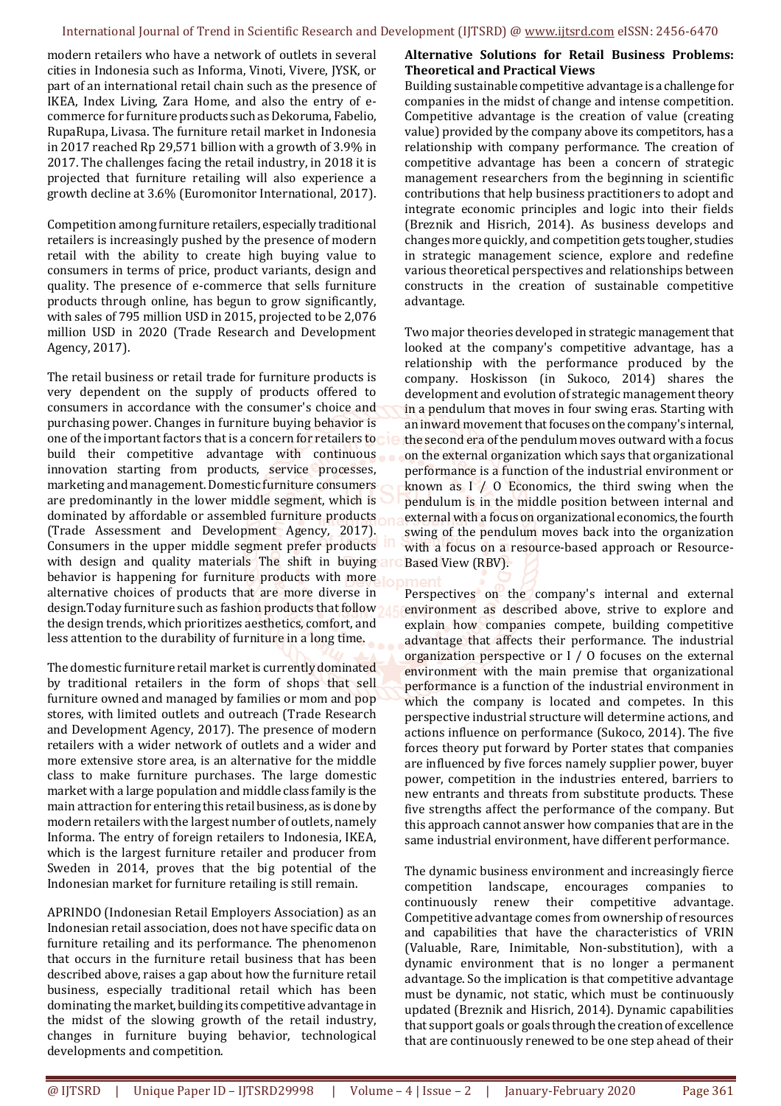modern retailers who have a network of outlets in several cities in Indonesia such as Informa, Vinoti, Vivere, JYSK, or part of an international retail chain such as the presence of IKEA, Index Living, Zara Home, and also the entry of ecommerce for furniture products such as Dekoruma, Fabelio, RupaRupa, Livasa. The furniture retail market in Indonesia in 2017 reached Rp 29,571 billion with a growth of 3.9% in 2017. The challenges facing the retail industry, in 2018 it is projected that furniture retailing will also experience a growth decline at 3.6% (Euromonitor International, 2017).

Competition among furniture retailers, especially traditional retailers is increasingly pushed by the presence of modern retail with the ability to create high buying value to consumers in terms of price, product variants, design and quality. The presence of e-commerce that sells furniture products through online, has begun to grow significantly, with sales of 795 million USD in 2015, projected to be 2,076 million USD in 2020 (Trade Research and Development Agency, 2017).

The retail business or retail trade for furniture products is very dependent on the supply of products offered to consumers in accordance with the consumer's choice and purchasing power. Changes in furniture buying behavior is one of the important factors that is a concern for retailers to build their competitive advantage with continuous innovation starting from products, service processes, marketing and management. Domestic furniture consumers are predominantly in the lower middle segment, which is dominated by affordable or assembled furniture products (Trade Assessment and Development Agency, 2017). Consumers in the upper middle segment prefer products with design and quality materials The shift in buying and behavior is happening for furniture products with more alternative choices of products that are more diverse in design.Today furniture such as fashion products that follow the design trends, which prioritizes aesthetics, comfort, and less attention to the durability of furniture in a long time.

The domestic furniture retail market is currently dominated by traditional retailers in the form of shops that sell furniture owned and managed by families or mom and pop stores, with limited outlets and outreach (Trade Research and Development Agency, 2017). The presence of modern retailers with a wider network of outlets and a wider and more extensive store area, is an alternative for the middle class to make furniture purchases. The large domestic market with a large population and middle class family is the main attraction for entering this retail business, as is done by modern retailers with the largest number of outlets, namely Informa. The entry of foreign retailers to Indonesia, IKEA, which is the largest furniture retailer and producer from Sweden in 2014, proves that the big potential of the Indonesian market for furniture retailing is still remain.

APRINDO (Indonesian Retail Employers Association) as an Indonesian retail association, does not have specific data on furniture retailing and its performance. The phenomenon that occurs in the furniture retail business that has been described above, raises a gap about how the furniture retail business, especially traditional retail which has been dominating the market, building its competitive advantage in the midst of the slowing growth of the retail industry, changes in furniture buying behavior, technological developments and competition.

## **Alternative Solutions for Retail Business Problems: Theoretical and Practical Views**

Building sustainable competitive advantage is a challenge for companies in the midst of change and intense competition. Competitive advantage is the creation of value (creating value) provided by the company above its competitors, has a relationship with company performance. The creation of competitive advantage has been a concern of strategic management researchers from the beginning in scientific contributions that help business practitioners to adopt and integrate economic principles and logic into their fields (Breznik and Hisrich, 2014). As business develops and changes more quickly, and competition gets tougher, studies in strategic management science, explore and redefine various theoretical perspectives and relationships between constructs in the creation of sustainable competitive advantage.

Two major theories developed in strategic management that looked at the company's competitive advantage, has a relationship with the performance produced by the company. Hoskisson (in Sukoco, 2014) shares the development and evolution of strategic management theory in a pendulum that moves in four swing eras. Starting with an inward movement that focuses on the company's internal, the second era of the pendulum moves outward with a focus on the external organization which says that organizational performance is a function of the industrial environment or known as  $I / 0$  Economics, the third swing when the pendulum is in the middle position between internal and external with a focus on organizational economics, the fourth swing of the pendulum moves back into the organization with a focus on a resource-based approach or Resource-Based View (RBV).

Perspectives on the company's internal and external environment as described above, strive to explore and explain how companies compete, building competitive advantage that affects their performance. The industrial organization perspective or I / O focuses on the external environment with the main premise that organizational performance is a function of the industrial environment in which the company is located and competes. In this perspective industrial structure will determine actions, and actions influence on performance (Sukoco, 2014). The five forces theory put forward by Porter states that companies are influenced by five forces namely supplier power, buyer power, competition in the industries entered, barriers to new entrants and threats from substitute products. These five strengths affect the performance of the company. But this approach cannot answer how companies that are in the same industrial environment, have different performance.

The dynamic business environment and increasingly fierce competition landscape, encourages companies to continuously renew their competitive advantage. Competitive advantage comes from ownership of resources and capabilities that have the characteristics of VRIN (Valuable, Rare, Inimitable, Non-substitution), with a dynamic environment that is no longer a permanent advantage. So the implication is that competitive advantage must be dynamic, not static, which must be continuously updated (Breznik and Hisrich, 2014). Dynamic capabilities that support goals or goals through the creation of excellence that are continuously renewed to be one step ahead of their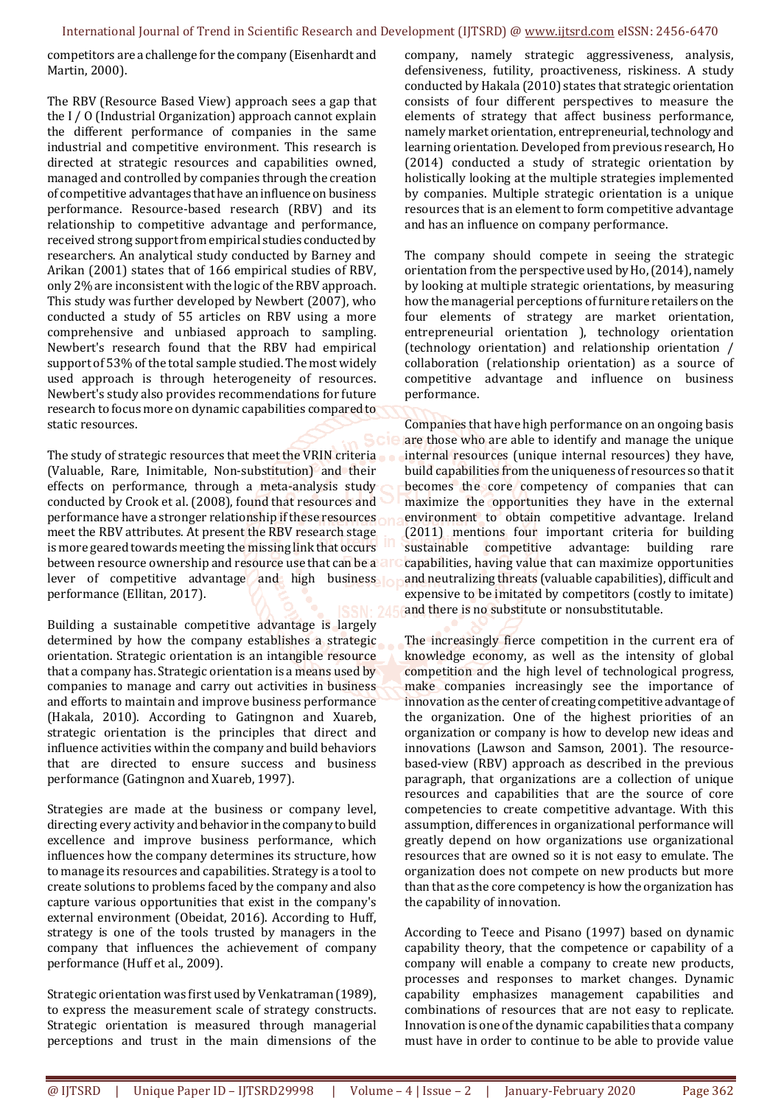competitors are a challenge for the company (Eisenhardt and Martin, 2000).

The RBV (Resource Based View) approach sees a gap that the I / O (Industrial Organization) approach cannot explain the different performance of companies in the same industrial and competitive environment. This research is directed at strategic resources and capabilities owned, managed and controlled by companies through the creation of competitive advantages that have an influence on business performance. Resource-based research (RBV) and its relationship to competitive advantage and performance, received strong support from empirical studies conducted by researchers. An analytical study conducted by Barney and Arikan (2001) states that of 166 empirical studies of RBV, only 2% are inconsistent with the logic of the RBV approach. This study was further developed by Newbert (2007), who conducted a study of 55 articles on RBV using a more comprehensive and unbiased approach to sampling. Newbert's research found that the RBV had empirical support of 53% of the total sample studied. The most widely used approach is through heterogeneity of resources. Newbert's study also provides recommendations for future research to focus more on dynamic capabilities compared to static resources.

The study of strategic resources that meet the VRIN criteria (Valuable, Rare, Inimitable, Non-substitution) and their effects on performance, through a meta-analysis study conducted by Crook et al. (2008), found that resources and performance have a stronger relationship if these resources meet the RBV attributes. At present the RBV research stage is more geared towards meeting the missing link that occurs between resource ownership and resource use that can be a a r lever of competitive advantage and high business performance (Ellitan, 2017).

Building a sustainable competitive advantage is largely determined by how the company establishes a strategic orientation. Strategic orientation is an intangible resource that a company has. Strategic orientation is a means used by companies to manage and carry out activities in business and efforts to maintain and improve business performance (Hakala, 2010). According to Gatingnon and Xuareb, strategic orientation is the principles that direct and influence activities within the company and build behaviors that are directed to ensure success and business performance (Gatingnon and Xuareb, 1997).

Strategies are made at the business or company level, directing every activity and behavior in the company to build excellence and improve business performance, which influences how the company determines its structure, how to manage its resources and capabilities. Strategy is a tool to create solutions to problems faced by the company and also capture various opportunities that exist in the company's external environment (Obeidat, 2016). According to Huff, strategy is one of the tools trusted by managers in the company that influences the achievement of company performance (Huff et al., 2009).

Strategic orientation was first used by Venkatraman (1989), to express the measurement scale of strategy constructs. Strategic orientation is measured through managerial perceptions and trust in the main dimensions of the

company, namely strategic aggressiveness, analysis, defensiveness, futility, proactiveness, riskiness. A study conducted by Hakala (2010) states that strategic orientation consists of four different perspectives to measure the elements of strategy that affect business performance, namely market orientation, entrepreneurial, technology and learning orientation. Developed from previous research, Ho (2014) conducted a study of strategic orientation by holistically looking at the multiple strategies implemented by companies. Multiple strategic orientation is a unique resources that is an element to form competitive advantage and has an influence on company performance.

The company should compete in seeing the strategic orientation from the perspective used by Ho, (2014), namely by looking at multiple strategic orientations, by measuring how the managerial perceptions of furniture retailers on the four elements of strategy are market orientation, entrepreneurial orientation ), technology orientation (technology orientation) and relationship orientation / collaboration (relationship orientation) as a source of competitive advantage and influence on business performance.

Companies that have high performance on an ongoing basis are those who are able to identify and manage the unique internal resources (unique internal resources) they have, build capabilities from the uniqueness of resources so that it becomes the core competency of companies that can maximize the opportunities they have in the external environment to obtain competitive advantage. Ireland (2011) mentions four important criteria for building sustainable competitive advantage: building rare capabilities, having value that can maximize opportunities and neutralizing threats (valuable capabilities), difficult and expensive to be imitated by competitors (costly to imitate) and there is no substitute or nonsubstitutable.

The increasingly fierce competition in the current era of knowledge economy, as well as the intensity of global competition and the high level of technological progress, make companies increasingly see the importance of innovation as the center of creating competitive advantage of the organization. One of the highest priorities of an organization or company is how to develop new ideas and innovations (Lawson and Samson, 2001). The resourcebased-view (RBV) approach as described in the previous paragraph, that organizations are a collection of unique resources and capabilities that are the source of core competencies to create competitive advantage. With this assumption, differences in organizational performance will greatly depend on how organizations use organizational resources that are owned so it is not easy to emulate. The organization does not compete on new products but more than that as the core competency is how the organization has the capability of innovation.

According to Teece and Pisano (1997) based on dynamic capability theory, that the competence or capability of a company will enable a company to create new products, processes and responses to market changes. Dynamic capability emphasizes management capabilities and combinations of resources that are not easy to replicate. Innovation is one of the dynamic capabilities that a company must have in order to continue to be able to provide value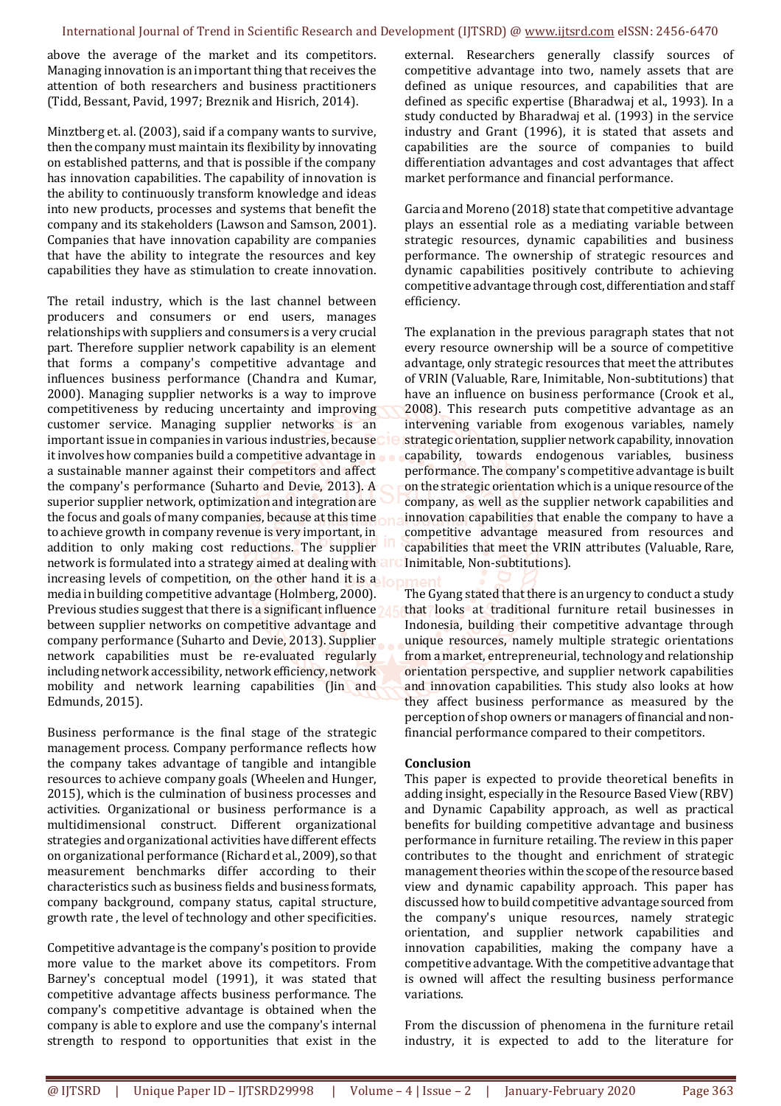above the average of the market and its competitors. Managing innovation is an important thing that receives the attention of both researchers and business practitioners (Tidd, Bessant, Pavid, 1997; Breznik and Hisrich, 2014).

Minztberg et. al. (2003), said if a company wants to survive, then the company must maintain its flexibility by innovating on established patterns, and that is possible if the company has innovation capabilities. The capability of innovation is the ability to continuously transform knowledge and ideas into new products, processes and systems that benefit the company and its stakeholders (Lawson and Samson, 2001). Companies that have innovation capability are companies that have the ability to integrate the resources and key capabilities they have as stimulation to create innovation.

The retail industry, which is the last channel between producers and consumers or end users, manages relationships with suppliers and consumers is a very crucial part. Therefore supplier network capability is an element that forms a company's competitive advantage and influences business performance (Chandra and Kumar, 2000). Managing supplier networks is a way to improve competitiveness by reducing uncertainty and improving customer service. Managing supplier networks is an important issue in companies in various industries, because it involves how companies build a competitive advantage in a sustainable manner against their competitors and affect the company's performance (Suharto and Devie, 2013). A superior supplier network, optimization and integration are the focus and goals of many companies, because at this time to achieve growth in company revenue is very important, in addition to only making cost reductions. The supplier network is formulated into a strategy aimed at dealing with increasing levels of competition, on the other hand it is a media in building competitive advantage (Holmberg, 2000). Previous studies suggest that there is a significant influence? between supplier networks on competitive advantage and company performance (Suharto and Devie, 2013). Supplier network capabilities must be re-evaluated regularly including network accessibility, network efficiency, network mobility and network learning capabilities (Jin and Edmunds, 2015).

Business performance is the final stage of the strategic management process. Company performance reflects how the company takes advantage of tangible and intangible resources to achieve company goals (Wheelen and Hunger, 2015), which is the culmination of business processes and activities. Organizational or business performance is a multidimensional construct. Different organizational strategies and organizational activities have different effects on organizational performance (Richard et al., 2009), so that measurement benchmarks differ according to their characteristics such as business fields and business formats, company background, company status, capital structure, growth rate , the level of technology and other specificities.

Competitive advantage is the company's position to provide more value to the market above its competitors. From Barney's conceptual model (1991), it was stated that competitive advantage affects business performance. The company's competitive advantage is obtained when the company is able to explore and use the company's internal strength to respond to opportunities that exist in the

external. Researchers generally classify sources of competitive advantage into two, namely assets that are defined as unique resources, and capabilities that are defined as specific expertise (Bharadwaj et al., 1993). In a study conducted by Bharadwaj et al. (1993) in the service industry and Grant (1996), it is stated that assets and capabilities are the source of companies to build differentiation advantages and cost advantages that affect market performance and financial performance.

Garcia and Moreno (2018) state that competitive advantage plays an essential role as a mediating variable between strategic resources, dynamic capabilities and business performance. The ownership of strategic resources and dynamic capabilities positively contribute to achieving competitive advantage through cost, differentiation and staff efficiency.

The explanation in the previous paragraph states that not every resource ownership will be a source of competitive advantage, only strategic resources that meet the attributes of VRIN (Valuable, Rare, Inimitable, Non-subtitutions) that have an influence on business performance (Crook et al., 2008). This research puts competitive advantage as an intervening variable from exogenous variables, namely strategic orientation, supplier network capability, innovation capability, towards endogenous variables, business performance. The company's competitive advantage is built on the strategic orientation which is a unique resource of the company, as well as the supplier network capabilities and innovation capabilities that enable the company to have a competitive advantage measured from resources and capabilities that meet the VRIN attributes (Valuable, Rare, Inimitable, Non-subtitutions).

The Gyang stated that there is an urgency to conduct a study that looks at traditional furniture retail businesses in Indonesia, building their competitive advantage through unique resources, namely multiple strategic orientations from a market, entrepreneurial, technology and relationship orientation perspective, and supplier network capabilities and innovation capabilities. This study also looks at how they affect business performance as measured by the perception of shop owners or managers of financial and nonfinancial performance compared to their competitors.

#### **Conclusion**

This paper is expected to provide theoretical benefits in adding insight, especially in the Resource Based View (RBV) and Dynamic Capability approach, as well as practical benefits for building competitive advantage and business performance in furniture retailing. The review in this paper contributes to the thought and enrichment of strategic management theories within the scope of the resource based view and dynamic capability approach. This paper has discussed how to build competitive advantage sourced from the company's unique resources, namely strategic orientation, and supplier network capabilities and innovation capabilities, making the company have a competitive advantage. With the competitive advantage that is owned will affect the resulting business performance variations.

From the discussion of phenomena in the furniture retail industry, it is expected to add to the literature for